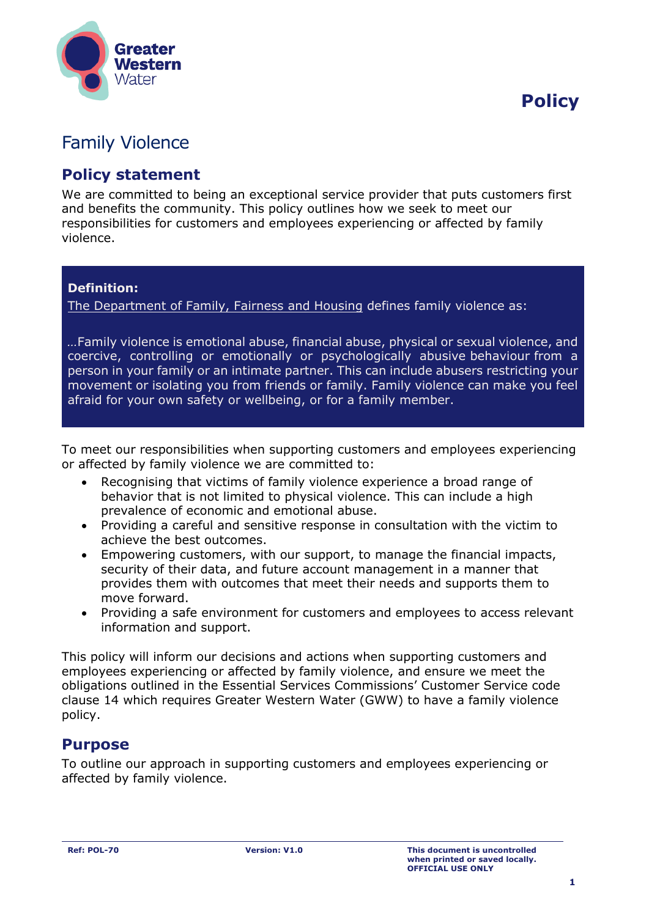

 **Policy**

# Family Violence

## **Policy statement**

We are committed to being an exceptional service provider that puts customers first and benefits the community. This policy outlines how we seek to meet our responsibilities for customers and employees experiencing or affected by family violence.

#### **Definition:**

[The Department of Family, Fairness and Housing](https://www.coronavirus.vic.gov.au/family-violence-crisis-response-and-support-during-coronavirus) defines family violence as:

*…*Family violence is emotional abuse, financial abuse, physical or sexual violence, and coercive, controlling or emotionally or psychologically abusive behaviour from a person in your family or an intimate partner. This can include abusers restricting your movement or isolating you from friends or family. Family violence can make you feel afraid for your own safety or wellbeing, or for a family member.

To meet our responsibilities when supporting customers and employees experiencing or affected by family violence we are committed to:

- Recognising that victims of family violence experience a broad range of behavior that is not limited to physical violence. This can include a high prevalence of economic and emotional abuse.
- Providing a careful and sensitive response in consultation with the victim to achieve the best outcomes.
- Empowering customers, with our support, to manage the financial impacts, security of their data, and future account management in a manner that provides them with outcomes that meet their needs and supports them to move forward.
- Providing a safe environment for customers and employees to access relevant information and support.

This policy will inform our decisions and actions when supporting customers and employees experiencing or affected by family violence, and ensure we meet the obligations outlined in the Essential Services Commissions' Customer Service code clause 14 which requires Greater Western Water (GWW) to have a family violence policy.

## **Purpose**

To outline our approach in supporting customers and employees experiencing or affected by family violence.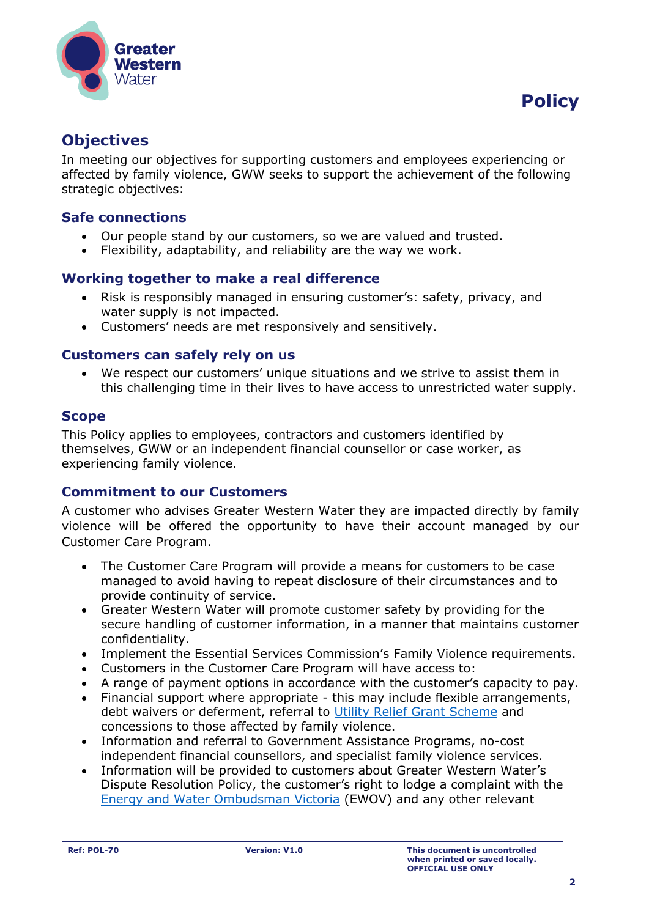

# **Objectives**

In meeting our objectives for supporting customers and employees experiencing or affected by family violence, GWW seeks to support the achievement of the following strategic objectives:

### **Safe connections**

- Our people stand by our customers, so we are valued and trusted.
- Flexibility, adaptability, and reliability are the way we work.

#### **Working together to make a real difference**

- Risk is responsibly managed in ensuring customer's: safety, privacy, and water supply is not impacted.
- Customers' needs are met responsively and sensitively.

#### **Customers can safely rely on us**

• We respect our customers' unique situations and we strive to assist them in this challenging time in their lives to have access to unrestricted water supply.

#### **Scope**

This Policy applies to employees, contractors and customers identified by themselves, GWW or an independent financial counsellor or case worker, as experiencing family violence.

#### **Commitment to our Customers**

A customer who advises Greater Western Water they are impacted directly by family violence will be offered the opportunity to have their account managed by our Customer Care Program.

- The Customer Care Program will provide a means for customers to be case managed to avoid having to repeat disclosure of their circumstances and to provide continuity of service.
- Greater Western Water will promote customer safety by providing for the secure handling of customer information, in a manner that maintains customer confidentiality.
- Implement the Essential Services Commission's Family Violence requirements.
- Customers in the Customer Care Program will have access to:
- A range of payment options in accordance with the customer's capacity to pay.
- Financial support where appropriate this may include flexible arrangements, debt waivers or deferment, referral to [Utility Relief Grant Scheme](https://services.dhhs.vic.gov.au/utility-relief-grant-scheme) and concessions to those affected by family violence.
- Information and referral to Government Assistance Programs, no-cost independent financial counsellors, and specialist family violence services.
- Information will be provided to customers about Greater Western Water's Dispute Resolution Policy, the customer's right to lodge a complaint with the [Energy and Water Ombudsman Victoria](https://www.ewov.com.au/) (EWOV) and any other relevant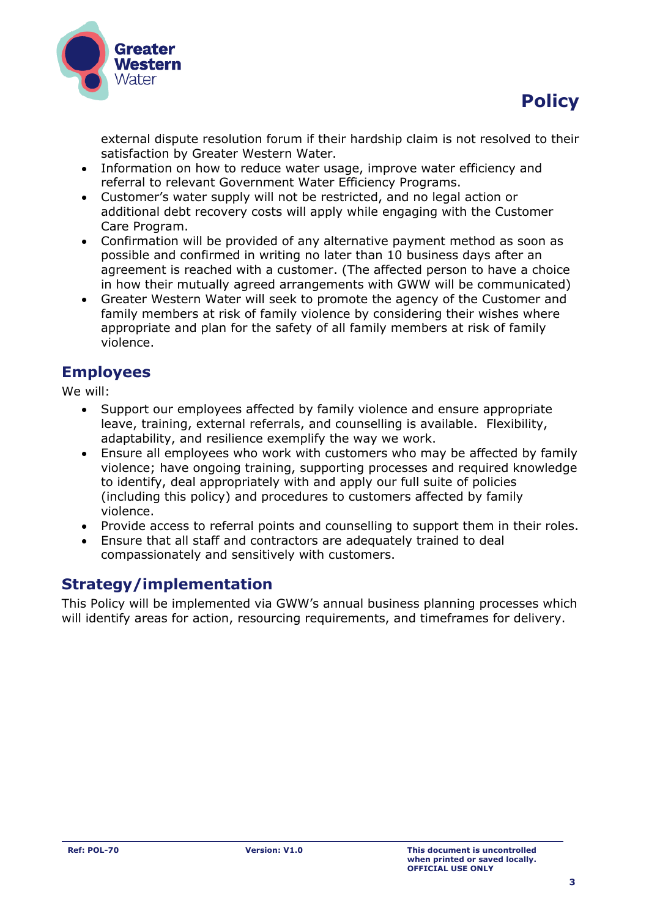



external dispute resolution forum if their hardship claim is not resolved to their satisfaction by Greater Western Water.

- Information on how to reduce water usage, improve water efficiency and referral to relevant Government Water Efficiency Programs.
- Customer's water supply will not be restricted, and no legal action or additional debt recovery costs will apply while engaging with the Customer Care Program.
- Confirmation will be provided of any alternative payment method as soon as possible and confirmed in writing no later than 10 business days after an agreement is reached with a customer. (The affected person to have a choice in how their mutually agreed arrangements with GWW will be communicated)
- Greater Western Water will seek to promote the agency of the Customer and family members at risk of family violence by considering their wishes where appropriate and plan for the safety of all family members at risk of family violence.

# **Employees**

We will:

- Support our employees affected by family violence and ensure appropriate leave, training, external referrals, and counselling is available. Flexibility, adaptability, and resilience exemplify the way we work.
- Ensure all employees who work with customers who may be affected by family violence; have ongoing training, supporting processes and required knowledge to identify, deal appropriately with and apply our full suite of policies (including this policy) and procedures to customers affected by family violence.
- Provide access to referral points and counselling to support them in their roles.
- Ensure that all staff and contractors are adequately trained to deal compassionately and sensitively with customers.

# **Strategy/implementation**

This Policy will be implemented via GWW's annual business planning processes which will identify areas for action, resourcing requirements, and timeframes for delivery.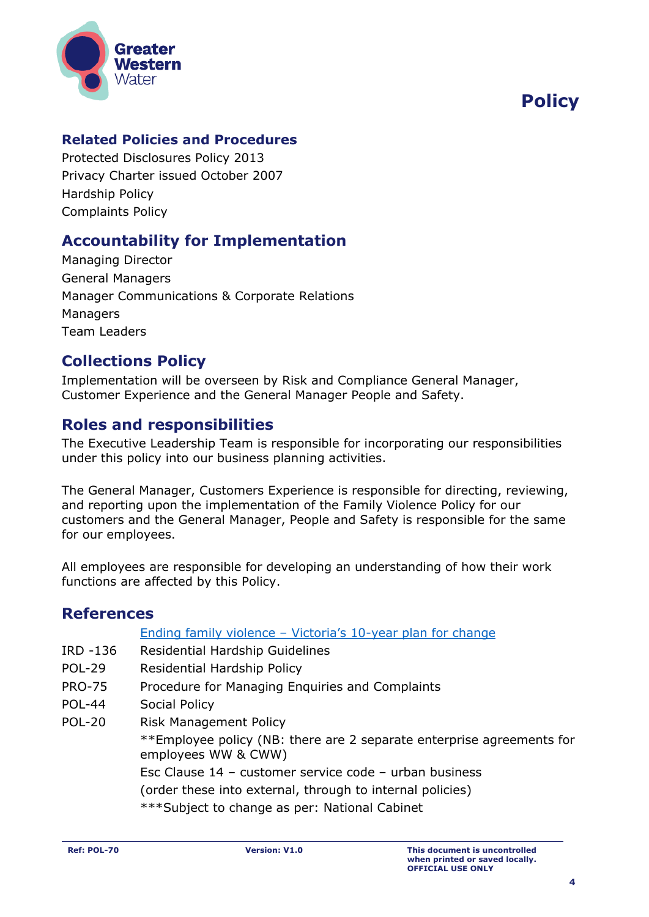

# **Policy**

### **Related Policies and Procedures**

Protected Disclosures Policy 2013 Privacy Charter issued October 2007 Hardship Policy Complaints Policy

# **Accountability for Implementation**

Managing Director General Managers Manager Communications & Corporate Relations Managers Team Leaders

## **Collections Policy**

Implementation will be overseen by Risk and Compliance General Manager, Customer Experience and the General Manager People and Safety.

# **Roles and responsibilities**

The Executive Leadership Team is responsible for incorporating our responsibilities under this policy into our business planning activities.

The General Manager, Customers Experience is responsible for directing, reviewing, and reporting upon the implementation of the Family Violence Policy for our customers and the General Manager, People and Safety is responsible for the same for our employees.

All employees are responsible for developing an understanding of how their work functions are affected by this Policy.

## **References**

[Ending family violence](https://www.vic.gov.au/ending-family-violence-victorias-10-year-plan-change) – Victoria's 10-year plan for change

- IRD -136 Residential Hardship Guidelines
- POL-29 Residential Hardship Policy
- PRO-75 Procedure for Managing Enquiries and Complaints
- POL-44 Social Policy
- POL-20 Risk Management Policy \*\*Employee policy (NB: there are 2 separate enterprise agreements for employees WW & CWW) Esc Clause 14 – customer service code – urban business

(order these into external, through to internal policies)

\*\*\*Subject to change as per: National Cabinet